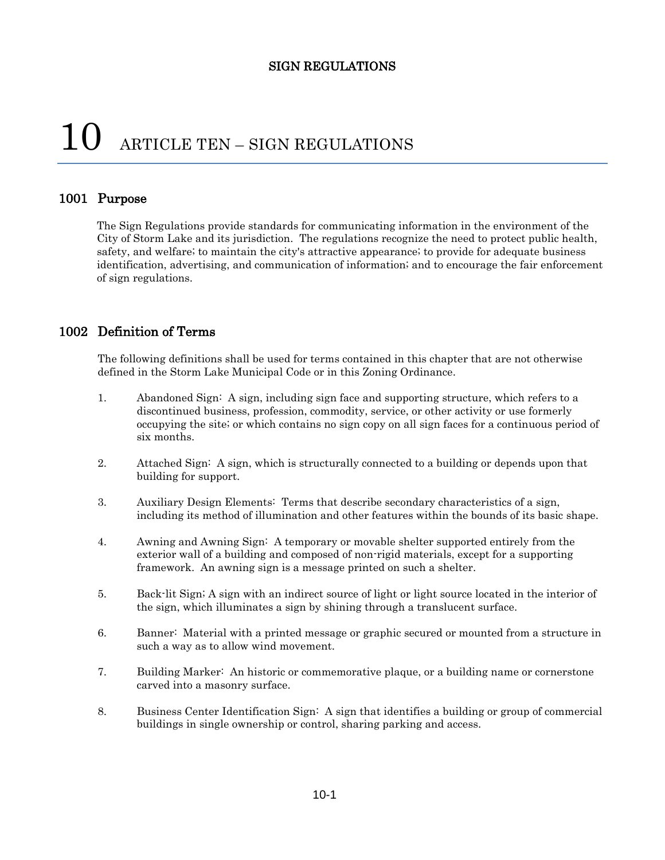# $10$  ARTICLE TEN – SIGN REGULATIONS

## 1001 Purpose

The Sign Regulations provide standards for communicating information in the environment of the City of Storm Lake and its jurisdiction. The regulations recognize the need to protect public health, safety, and welfare; to maintain the city's attractive appearance; to provide for adequate business identification, advertising, and communication of information; and to encourage the fair enforcement of sign regulations.

## 1002 Definition of Terms

The following definitions shall be used for terms contained in this chapter that are not otherwise defined in the Storm Lake Municipal Code or in this Zoning Ordinance.

- 1. Abandoned Sign: A sign, including sign face and supporting structure, which refers to a discontinued business, profession, commodity, service, or other activity or use formerly occupying the site; or which contains no sign copy on all sign faces for a continuous period of six months.
- 2. Attached Sign: A sign, which is structurally connected to a building or depends upon that building for support.
- 3. Auxiliary Design Elements: Terms that describe secondary characteristics of a sign, including its method of illumination and other features within the bounds of its basic shape.
- 4. Awning and Awning Sign: A temporary or movable shelter supported entirely from the exterior wall of a building and composed of non-rigid materials, except for a supporting framework. An awning sign is a message printed on such a shelter.
- 5. Back-lit Sign; A sign with an indirect source of light or light source located in the interior of the sign, which illuminates a sign by shining through a translucent surface.
- 6. Banner: Material with a printed message or graphic secured or mounted from a structure in such a way as to allow wind movement.
- 7. Building Marker: An historic or commemorative plaque, or a building name or cornerstone carved into a masonry surface.
- 8. Business Center Identification Sign: A sign that identifies a building or group of commercial buildings in single ownership or control, sharing parking and access.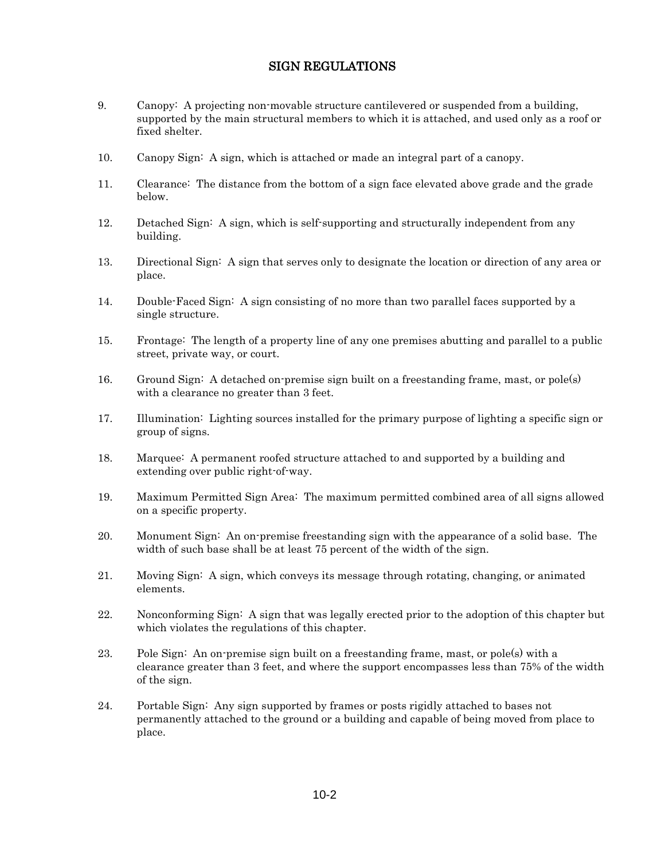- 9. Canopy: A projecting non-movable structure cantilevered or suspended from a building, supported by the main structural members to which it is attached, and used only as a roof or fixed shelter.
- 10. Canopy Sign: A sign, which is attached or made an integral part of a canopy.
- 11. Clearance: The distance from the bottom of a sign face elevated above grade and the grade below.
- 12. Detached Sign: A sign, which is self-supporting and structurally independent from any building.
- 13. Directional Sign: A sign that serves only to designate the location or direction of any area or place.
- 14. Double-Faced Sign: A sign consisting of no more than two parallel faces supported by a single structure.
- 15. Frontage: The length of a property line of any one premises abutting and parallel to a public street, private way, or court.
- 16. Ground Sign: A detached on-premise sign built on a freestanding frame, mast, or pole(s) with a clearance no greater than 3 feet.
- 17. Illumination: Lighting sources installed for the primary purpose of lighting a specific sign or group of signs.
- 18. Marquee: A permanent roofed structure attached to and supported by a building and extending over public right-of-way.
- 19. Maximum Permitted Sign Area: The maximum permitted combined area of all signs allowed on a specific property.
- 20. Monument Sign: An on-premise freestanding sign with the appearance of a solid base. The width of such base shall be at least 75 percent of the width of the sign.
- 21. Moving Sign: A sign, which conveys its message through rotating, changing, or animated elements.
- 22. Nonconforming Sign: A sign that was legally erected prior to the adoption of this chapter but which violates the regulations of this chapter.
- 23. Pole Sign: An on-premise sign built on a freestanding frame, mast, or pole(s) with a clearance greater than 3 feet, and where the support encompasses less than 75% of the width of the sign.
- 24. Portable Sign: Any sign supported by frames or posts rigidly attached to bases not permanently attached to the ground or a building and capable of being moved from place to place.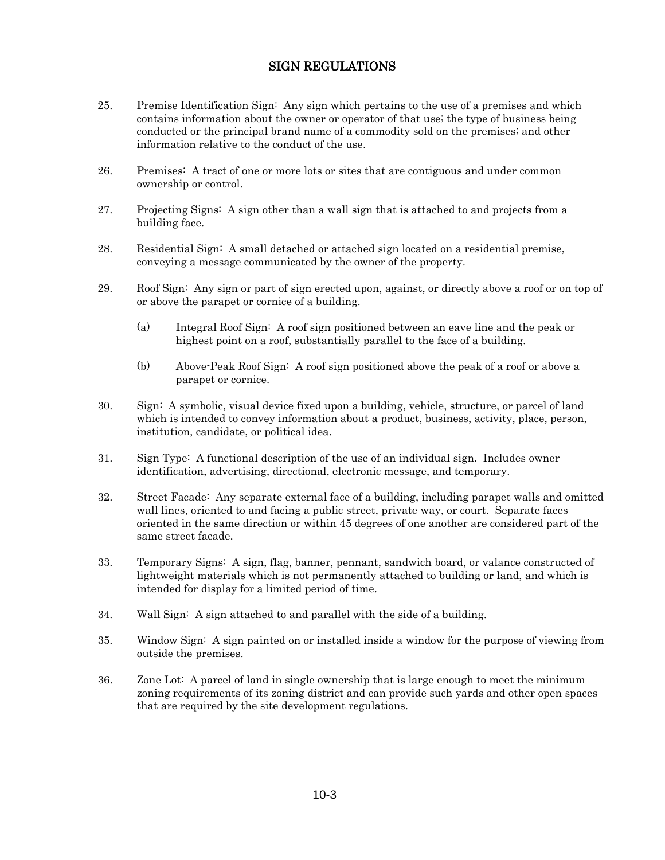- 25. Premise Identification Sign: Any sign which pertains to the use of a premises and which contains information about the owner or operator of that use; the type of business being conducted or the principal brand name of a commodity sold on the premises; and other information relative to the conduct of the use.
- 26. Premises: A tract of one or more lots or sites that are contiguous and under common ownership or control.
- 27. Projecting Signs: A sign other than a wall sign that is attached to and projects from a building face.
- 28. Residential Sign: A small detached or attached sign located on a residential premise, conveying a message communicated by the owner of the property.
- 29. Roof Sign: Any sign or part of sign erected upon, against, or directly above a roof or on top of or above the parapet or cornice of a building.
	- (a) Integral Roof Sign: A roof sign positioned between an eave line and the peak or highest point on a roof, substantially parallel to the face of a building.
	- (b) Above-Peak Roof Sign: A roof sign positioned above the peak of a roof or above a parapet or cornice.
- 30. Sign: A symbolic, visual device fixed upon a building, vehicle, structure, or parcel of land which is intended to convey information about a product, business, activity, place, person, institution, candidate, or political idea.
- 31. Sign Type: A functional description of the use of an individual sign. Includes owner identification, advertising, directional, electronic message, and temporary.
- 32. Street Facade: Any separate external face of a building, including parapet walls and omitted wall lines, oriented to and facing a public street, private way, or court. Separate faces oriented in the same direction or within 45 degrees of one another are considered part of the same street facade.
- 33. Temporary Signs: A sign, flag, banner, pennant, sandwich board, or valance constructed of lightweight materials which is not permanently attached to building or land, and which is intended for display for a limited period of time.
- 34. Wall Sign: A sign attached to and parallel with the side of a building.
- 35. Window Sign: A sign painted on or installed inside a window for the purpose of viewing from outside the premises.
- 36. Zone Lot: A parcel of land in single ownership that is large enough to meet the minimum zoning requirements of its zoning district and can provide such yards and other open spaces that are required by the site development regulations.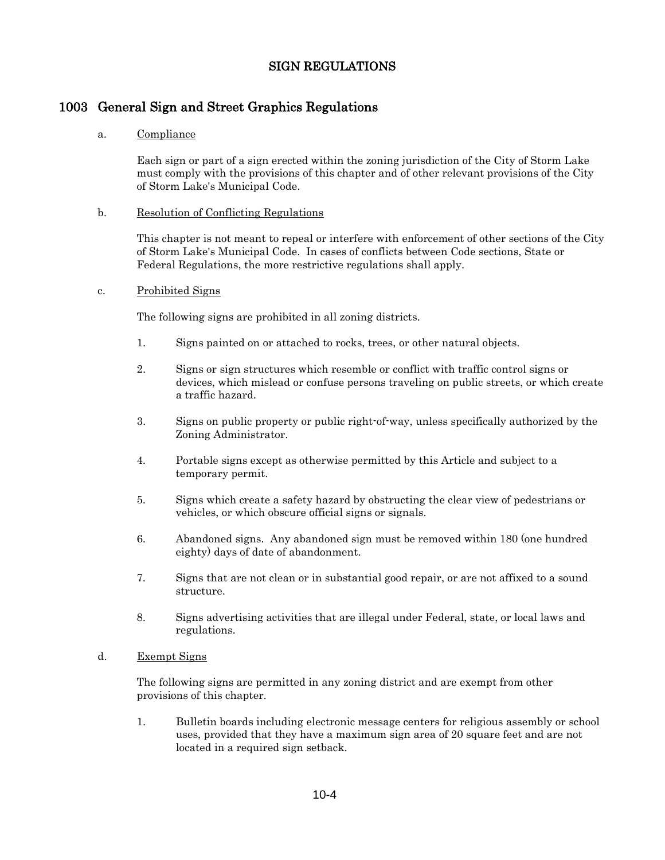## 1003 General Sign and Street Graphics Regulations

#### a. Compliance

Each sign or part of a sign erected within the zoning jurisdiction of the City of Storm Lake must comply with the provisions of this chapter and of other relevant provisions of the City of Storm Lake's Municipal Code.

#### b. Resolution of Conflicting Regulations

This chapter is not meant to repeal or interfere with enforcement of other sections of the City of Storm Lake's Municipal Code. In cases of conflicts between Code sections, State or Federal Regulations, the more restrictive regulations shall apply.

#### c. Prohibited Signs

The following signs are prohibited in all zoning districts.

- 1. Signs painted on or attached to rocks, trees, or other natural objects.
- 2. Signs or sign structures which resemble or conflict with traffic control signs or devices, which mislead or confuse persons traveling on public streets, or which create a traffic hazard.
- 3. Signs on public property or public right-of-way, unless specifically authorized by the Zoning Administrator.
- 4. Portable signs except as otherwise permitted by this Article and subject to a temporary permit.
- 5. Signs which create a safety hazard by obstructing the clear view of pedestrians or vehicles, or which obscure official signs or signals.
- 6. Abandoned signs. Any abandoned sign must be removed within 180 (one hundred eighty) days of date of abandonment.
- 7. Signs that are not clean or in substantial good repair, or are not affixed to a sound structure.
- 8. Signs advertising activities that are illegal under Federal, state, or local laws and regulations.

#### d. Exempt Signs

The following signs are permitted in any zoning district and are exempt from other provisions of this chapter.

1. Bulletin boards including electronic message centers for religious assembly or school uses, provided that they have a maximum sign area of 20 square feet and are not located in a required sign setback.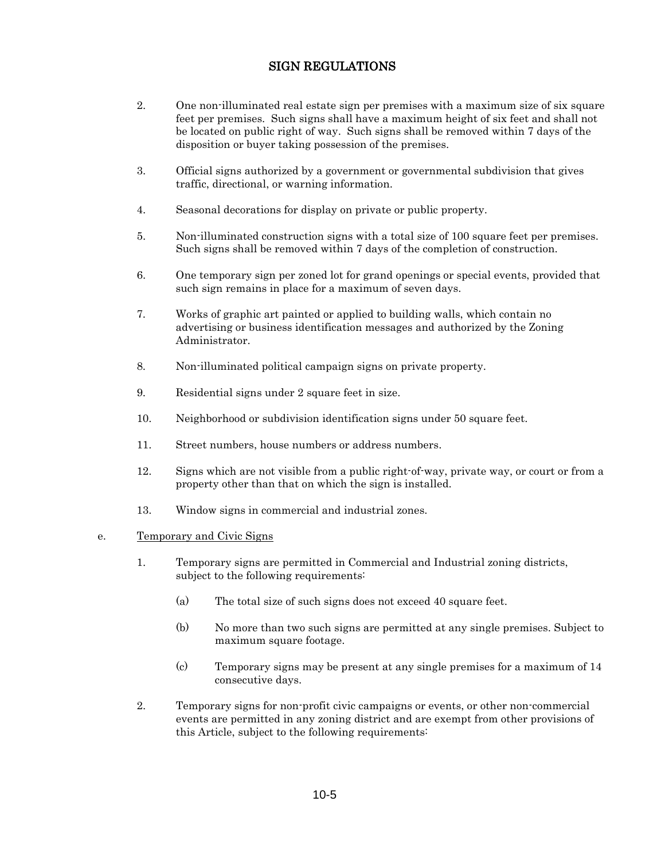- 2. One non-illuminated real estate sign per premises with a maximum size of six square feet per premises. Such signs shall have a maximum height of six feet and shall not be located on public right of way. Such signs shall be removed within 7 days of the disposition or buyer taking possession of the premises.
- 3. Official signs authorized by a government or governmental subdivision that gives traffic, directional, or warning information.
- 4. Seasonal decorations for display on private or public property.
- 5. Non-illuminated construction signs with a total size of 100 square feet per premises. Such signs shall be removed within 7 days of the completion of construction.
- 6. One temporary sign per zoned lot for grand openings or special events, provided that such sign remains in place for a maximum of seven days.
- 7. Works of graphic art painted or applied to building walls, which contain no advertising or business identification messages and authorized by the Zoning Administrator.
- 8. Non-illuminated political campaign signs on private property.
- 9. Residential signs under 2 square feet in size.
- 10. Neighborhood or subdivision identification signs under 50 square feet.
- 11. Street numbers, house numbers or address numbers.
- 12. Signs which are not visible from a public right-of-way, private way, or court or from a property other than that on which the sign is installed.
- 13. Window signs in commercial and industrial zones.

#### e. Temporary and Civic Signs

- 1. Temporary signs are permitted in Commercial and Industrial zoning districts, subject to the following requirements:
	- (a) The total size of such signs does not exceed 40 square feet.
	- (b) No more than two such signs are permitted at any single premises. Subject to maximum square footage.
	- (c) Temporary signs may be present at any single premises for a maximum of 14 consecutive days.
- 2. Temporary signs for non-profit civic campaigns or events, or other non-commercial events are permitted in any zoning district and are exempt from other provisions of this Article, subject to the following requirements: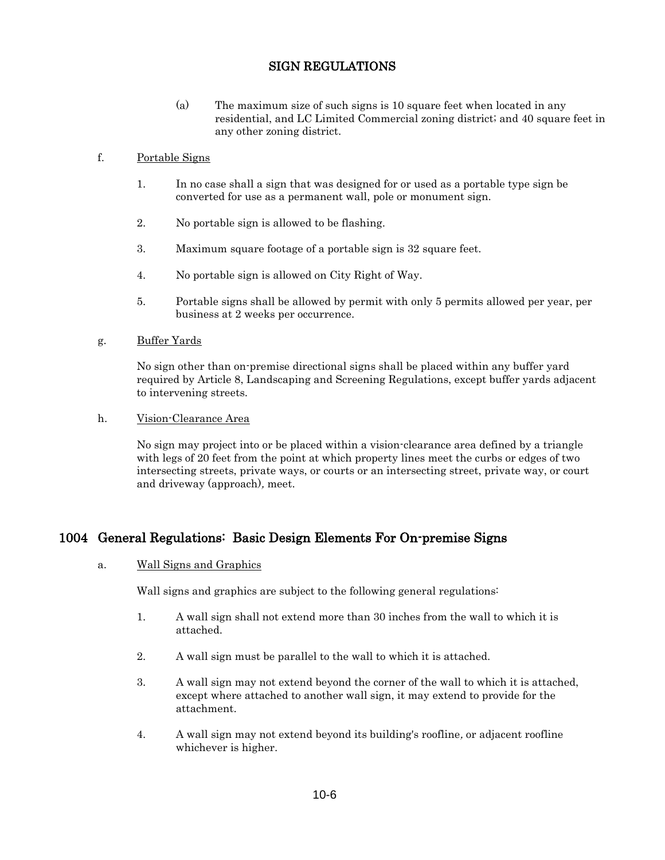(a) The maximum size of such signs is 10 square feet when located in any residential, and LC Limited Commercial zoning district; and 40 square feet in any other zoning district.

#### f. Portable Signs

- 1. In no case shall a sign that was designed for or used as a portable type sign be converted for use as a permanent wall, pole or monument sign.
- 2. No portable sign is allowed to be flashing.
- 3. Maximum square footage of a portable sign is 32 square feet.
- 4. No portable sign is allowed on City Right of Way.
- 5. Portable signs shall be allowed by permit with only 5 permits allowed per year, per business at 2 weeks per occurrence.

#### g. Buffer Yards

No sign other than on-premise directional signs shall be placed within any buffer yard required by Article 8, Landscaping and Screening Regulations, except buffer yards adjacent to intervening streets.

#### h. Vision-Clearance Area

No sign may project into or be placed within a vision-clearance area defined by a triangle with legs of 20 feet from the point at which property lines meet the curbs or edges of two intersecting streets, private ways, or courts or an intersecting street, private way, or court and driveway (approach), meet.

## 1004 General Regulations: Basic Design Elements For On-premise Signs

#### a. Wall Signs and Graphics

Wall signs and graphics are subject to the following general regulations:

- 1. A wall sign shall not extend more than 30 inches from the wall to which it is attached.
- 2. A wall sign must be parallel to the wall to which it is attached.
- 3. A wall sign may not extend beyond the corner of the wall to which it is attached, except where attached to another wall sign, it may extend to provide for the attachment.
- 4. A wall sign may not extend beyond its building's roofline, or adjacent roofline whichever is higher.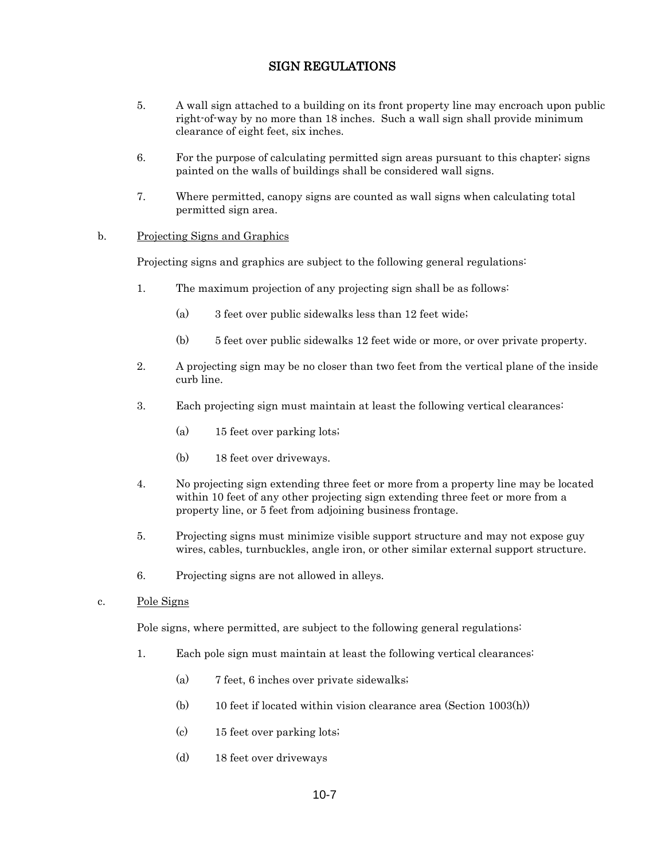- 5. A wall sign attached to a building on its front property line may encroach upon public right-of-way by no more than 18 inches. Such a wall sign shall provide minimum clearance of eight feet, six inches.
- 6. For the purpose of calculating permitted sign areas pursuant to this chapter; signs painted on the walls of buildings shall be considered wall signs.
- 7. Where permitted, canopy signs are counted as wall signs when calculating total permitted sign area.

#### b. Projecting Signs and Graphics

Projecting signs and graphics are subject to the following general regulations:

- 1. The maximum projection of any projecting sign shall be as follows:
	- (a) 3 feet over public sidewalks less than 12 feet wide;
	- (b) 5 feet over public sidewalks 12 feet wide or more, or over private property.
- 2. A projecting sign may be no closer than two feet from the vertical plane of the inside curb line.
- 3. Each projecting sign must maintain at least the following vertical clearances:
	- (a) 15 feet over parking lots;
	- (b) 18 feet over driveways.
- 4. No projecting sign extending three feet or more from a property line may be located within 10 feet of any other projecting sign extending three feet or more from a property line, or 5 feet from adjoining business frontage.
- 5. Projecting signs must minimize visible support structure and may not expose guy wires, cables, turnbuckles, angle iron, or other similar external support structure.
- 6. Projecting signs are not allowed in alleys.
- c. Pole Signs

Pole signs, where permitted, are subject to the following general regulations:

- 1. Each pole sign must maintain at least the following vertical clearances:
	- (a) 7 feet, 6 inches over private sidewalks;
	- (b) 10 feet if located within vision clearance area (Section 1003(h))
	- (c) 15 feet over parking lots;
	- (d) 18 feet over driveways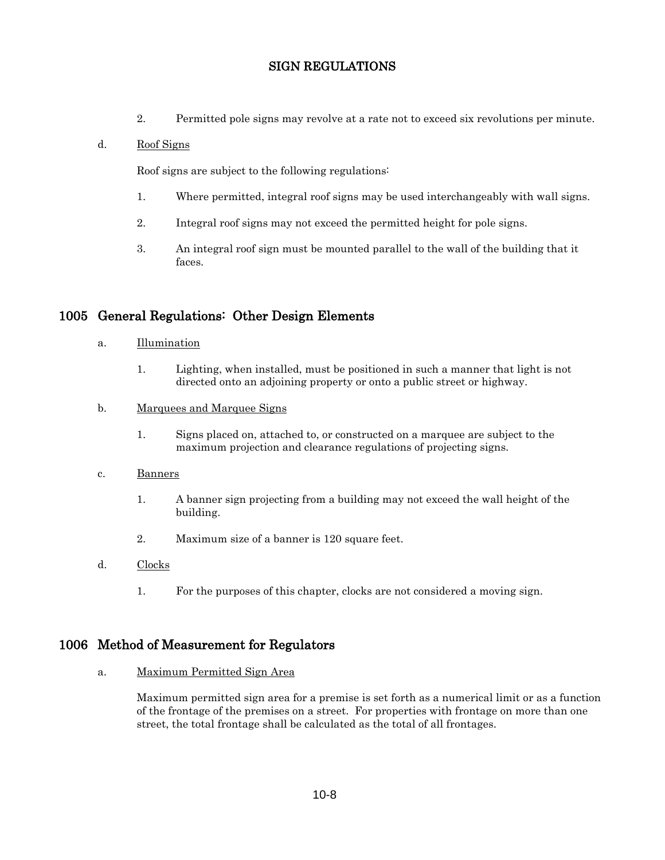2. Permitted pole signs may revolve at a rate not to exceed six revolutions per minute.

#### d. Roof Signs

Roof signs are subject to the following regulations:

- 1. Where permitted, integral roof signs may be used interchangeably with wall signs.
- 2. Integral roof signs may not exceed the permitted height for pole signs.
- 3. An integral roof sign must be mounted parallel to the wall of the building that it faces.

## 1005 General Regulations: Other Design Elements

- a. Illumination
	- 1. Lighting, when installed, must be positioned in such a manner that light is not directed onto an adjoining property or onto a public street or highway.
- b. Marquees and Marquee Signs
	- 1. Signs placed on, attached to, or constructed on a marquee are subject to the maximum projection and clearance regulations of projecting signs.

#### c. Banners

- 1. A banner sign projecting from a building may not exceed the wall height of the building.
- 2. Maximum size of a banner is 120 square feet.
- d. Clocks
	- 1. For the purposes of this chapter, clocks are not considered a moving sign.

## 1006 Method of Measurement for Regulators

a. Maximum Permitted Sign Area

Maximum permitted sign area for a premise is set forth as a numerical limit or as a function of the frontage of the premises on a street. For properties with frontage on more than one street, the total frontage shall be calculated as the total of all frontages.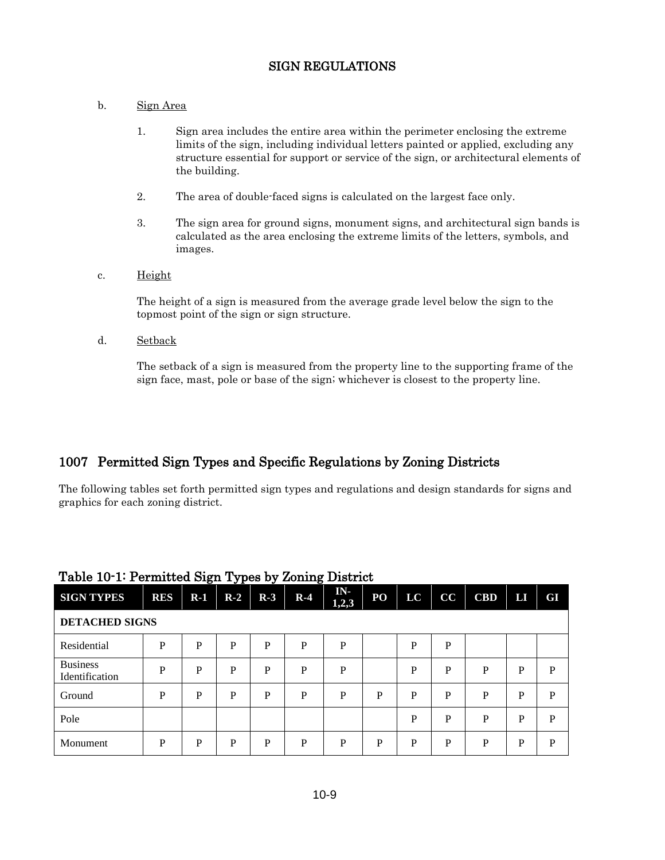### b. Sign Area

- 1. Sign area includes the entire area within the perimeter enclosing the extreme limits of the sign, including individual letters painted or applied, excluding any structure essential for support or service of the sign, or architectural elements of the building.
- 2. The area of double-faced signs is calculated on the largest face only.
- 3. The sign area for ground signs, monument signs, and architectural sign bands is calculated as the area enclosing the extreme limits of the letters, symbols, and images.

#### c. Height

The height of a sign is measured from the average grade level below the sign to the topmost point of the sign or sign structure.

d. Setback

The setback of a sign is measured from the property line to the supporting frame of the sign face, mast, pole or base of the sign; whichever is closest to the property line.

# 1007 Permitted Sign Types and Specific Regulations by Zoning Districts

The following tables set forth permitted sign types and regulations and design standards for signs and graphics for each zoning district.

| <b>SIGN TYPES</b>                 | <b>RES</b> | $R-1$ | $R-2$ | $R-3$ | $R-4$ | IN-<br>1,2,3 | P <sub>O</sub> | LC | cc | <b>CBD</b> | П | GI |
|-----------------------------------|------------|-------|-------|-------|-------|--------------|----------------|----|----|------------|---|----|
| <b>DETACHED SIGNS</b>             |            |       |       |       |       |              |                |    |    |            |   |    |
| Residential                       | P          | P     | P     | P     | P     | $\mathbf{P}$ |                | P  | P  |            |   |    |
| <b>Business</b><br>Identification | P          | P     | P     | P     | P     | P            |                | P  | P  | P          | P | P  |
| Ground                            | P          | P     | P     | P     | P     | P            | P              | P  | P  | P          | P | P  |
| Pole                              |            |       |       |       |       |              |                | P  | P  | P          | P | P  |
| Monument                          | P          | P     | P     | P     | P     | P            | P              | P  | D  | P          | P | P  |

## Table 10-1: Permitted Sign Types by Zoning District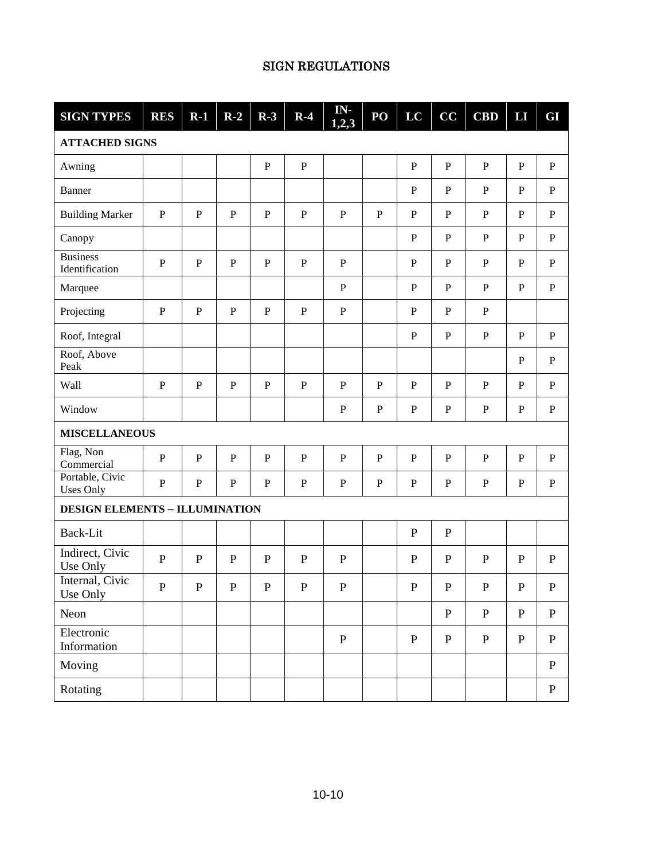| <b>SIGN TYPES</b>                     | <b>RES</b>   | $R-1$       | $R-2$        | $R-3$        | $R-4$        | IN-<br>1,2,3 | PO             | LC           | CC             | CBD          | LI           | GI           |
|---------------------------------------|--------------|-------------|--------------|--------------|--------------|--------------|----------------|--------------|----------------|--------------|--------------|--------------|
| <b>ATTACHED SIGNS</b>                 |              |             |              |              |              |              |                |              |                |              |              |              |
| Awning                                |              |             |              | $\mathbf P$  | $\, {\bf P}$ |              |                | $\, {\bf P}$ | $\, {\bf P}$   | ${\bf P}$    | $\mathbf P$  | ${\bf P}$    |
| Banner                                |              |             |              |              |              |              |                | ${\bf P}$    | ${\bf P}$      | $\mathbf{P}$ | ${\bf P}$    | $\mathbf{P}$ |
| <b>Building Marker</b>                | $\mathbf{P}$ | $\mathbf P$ | ${\bf P}$    | ${\bf P}$    | $\, {\bf P}$ | ${\bf P}$    | $\overline{P}$ | ${\bf P}$    | $\overline{P}$ | $\mathbf{P}$ | ${\bf P}$    | $\, {\bf P}$ |
| Canopy                                |              |             |              |              |              |              |                | $\, {\bf P}$ | $\, {\bf P}$   | ${\bf P}$    | ${\bf P}$    | $\mathbf{P}$ |
| <b>Business</b><br>Identification     | $\mathbf P$  | ${\bf P}$   | $\mathbf{P}$ | ${\bf P}$    | ${\bf P}$    | ${\bf P}$    |                | $\mathbf{P}$ | ${\bf P}$      | ${\bf P}$    | $\mathbf P$  | $\mathbf{P}$ |
| Marquee                               |              |             |              |              |              | ${\bf P}$    |                | $\mathbf{P}$ | $\, {\bf P}$   | ${\bf P}$    | $\mathbf P$  | $\mathbf{P}$ |
| Projecting                            | $\, {\bf P}$ | ${\bf P}$   | ${\bf P}$    | $\mathbf P$  | ${\bf P}$    | ${\bf P}$    |                | ${\bf P}$    | $\mathbf{P}$   | ${\bf P}$    |              |              |
| Roof, Integral                        |              |             |              |              |              |              |                | $\, {\bf P}$ | $\mathbf{P}$   | ${\bf P}$    | $\mathbf{P}$ | $\mathbf{P}$ |
| Roof, Above<br>Peak                   |              |             |              |              |              |              |                |              |                |              | ${\bf P}$    | $\mathbf P$  |
| Wall                                  | $\mathbf{P}$ | ${\bf P}$   | ${\bf P}$    | ${\bf P}$    | ${\bf P}$    | ${\bf P}$    | ${\bf P}$      | ${\bf P}$    | ${\bf P}$      | ${\bf P}$    | ${\bf P}$    | $\mathbf P$  |
| Window                                |              |             |              |              |              | ${\bf P}$    | ${\bf P}$      | $\, {\bf P}$ | $\, {\bf P}$   | ${\bf P}$    | $\, {\bf P}$ | ${\bf P}$    |
| <b>MISCELLANEOUS</b>                  |              |             |              |              |              |              |                |              |                |              |              |              |
| Flag, Non<br>Commercial               | $\mathbf{P}$ | $\mathbf P$ | $\, {\bf P}$ | $\, {\bf P}$ | ${\bf P}$    | ${\bf P}$    | $\mathbf P$    | ${\bf P}$    | $\mathbf P$    | $\mathbf P$  | $\, {\bf P}$ | ${\bf P}$    |
| Portable, Civic<br><b>Uses Only</b>   | $\mathbf{P}$ | $\mathbf P$ | $\, {\bf P}$ | $\, {\bf P}$ | $\mathbf{P}$ | ${\bf P}$    | ${\bf P}$      | $\mathbf{P}$ | ${\bf P}$      | ${\bf P}$    | $\mathbf P$  | $\mathbf{P}$ |
| <b>DESIGN ELEMENTS - ILLUMINATION</b> |              |             |              |              |              |              |                |              |                |              |              |              |
| Back-Lit                              |              |             |              |              |              |              |                | ${\bf P}$    | ${\bf P}$      |              |              |              |
| Indirect, Civic<br>Use Only           | $\mathbf{P}$ | ${\bf P}$   | $\mathbf P$  | $\mathbf P$  | ${\bf P}$    | ${\bf P}$    |                | ${\bf P}$    | ${\bf P}$      | $\mathbf{P}$ | $\mathbf P$  | $\mathbf P$  |
| Internal, Civic<br>Use Only           | $\mathbf P$  | ${\bf P}$   | ${\bf P}$    | ${\bf P}$    | ${\bf P}$    | $\mathbf P$  |                | ${\bf P}$    | ${\bf P}$      | ${\bf P}$    | ${\bf P}$    | P            |
| Neon                                  |              |             |              |              |              |              |                |              | ${\bf P}$      | ${\bf P}$    | ${\bf P}$    | $\mathbf P$  |
| Electronic<br>Information             |              |             |              |              |              | $\mathbf P$  |                | $\, {\bf P}$ | ${\bf P}$      | $\, {\bf P}$ | ${\bf P}$    | $\mathbf P$  |
| Moving                                |              |             |              |              |              |              |                |              |                |              |              | ${\bf P}$    |
| Rotating                              |              |             |              |              |              |              |                |              |                |              |              | ${\bf P}$    |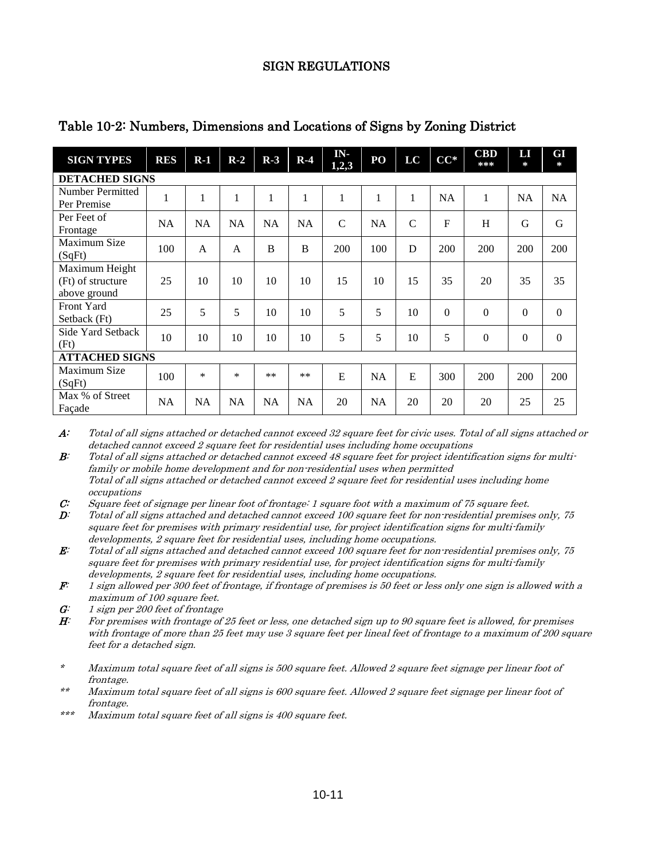| <b>SIGN TYPES</b>                                   | <b>RES</b> | $R-1$          | $R-2$          | $R-3$     | $R-4$     | IN-<br>1,2,3  | PO        | LC             | $CC^*$    | <b>CBD</b><br>*** | LЛ<br>$\approx$ | GI<br>$\ast$ |
|-----------------------------------------------------|------------|----------------|----------------|-----------|-----------|---------------|-----------|----------------|-----------|-------------------|-----------------|--------------|
| <b>DETACHED SIGNS</b>                               |            |                |                |           |           |               |           |                |           |                   |                 |              |
| Number Permitted<br>Per Premise                     | 1          | 1              | $\mathbf{1}$   | 1         |           | $\mathbf{1}$  | 1         | 1              | <b>NA</b> | 1                 | <b>NA</b>       | <b>NA</b>    |
| Per Feet of<br>Frontage                             | <b>NA</b>  | <b>NA</b>      | <b>NA</b>      | <b>NA</b> | <b>NA</b> | $\mathcal{C}$ | <b>NA</b> | $\overline{C}$ | F         | H                 | G               | G            |
| Maximum Size<br>(SqFt)                              | 100        | $\overline{A}$ | $\overline{A}$ | B         | B         | 200           | 100       | D              | 200       | 200               | 200             | 200          |
| Maximum Height<br>(Ft) of structure<br>above ground | 25         | 10             | 10             | 10        | 10        | 15            | 10        | 15             | 35        | 20                | 35              | 35           |
| Front Yard<br>Setback (Ft)                          | 25         | 5              | 5              | 10        | 10        | 5             | 5         | 10             | $\theta$  | $\theta$          | $\mathbf{0}$    | $\Omega$     |
| Side Yard Setback<br>(Ft)                           | 10         | 10             | 10             | 10        | 10        | 5             | 5         | 10             | 5         | $\theta$          | $\overline{0}$  | $\Omega$     |
| <b>ATTACHED SIGNS</b>                               |            |                |                |           |           |               |           |                |           |                   |                 |              |
| Maximum Size<br>(SqFt)                              | 100        | $\ast$         | *              | $**$      | $**$      | E             | <b>NA</b> | E              | 300       | 200               | 200             | 200          |
| Max % of Street<br>Façade                           | <b>NA</b>  | <b>NA</b>      | NA             | NA        | <b>NA</b> | 20            | NA        | 20             | 20        | 20                | 25              | 25           |

Table 10-2: Numbers, Dimensions and Locations of Signs by Zoning District

A: Total of all signs attached or detached cannot exceed 32 square feet for civic uses. Total of all signs attached or detached cannot exceed 2 square feet for residential uses including home occupations

B: Total of all signs attached or detached cannot exceed 48 square feet for project identification signs for multifamily or mobile home development and for non-residential uses when permitted Total of all signs attached or detached cannot exceed 2 square feet for residential uses including home occupations

- C: Square feet of signage per linear foot of frontage: 1 square foot with a maximum of 75 square feet.<br> $D$ : Total of all signs attached and detached cannot exceed 100 square feet for non residential premise D: Total of all signs attached and detached cannot exceed 100 square feet for non-residential premises only, 75 square feet for premises with primary residential use, for project identification signs for multi-family developments, 2 square feet for residential uses, including home occupations.
- $E$ : Total of all signs attached and detached cannot exceed 100 square feet for non-residential premises only, 75 square feet for premises with primary residential use, for project identification signs for multi-family developments, 2 square feet for residential uses, including home occupations.
- $\mathbf{F}$ : 1 sign allowed per 300 feet of frontage, if frontage of premises is 50 feet or less only one sign is allowed with a maximum of 100 square feet.
- $G:$  1 sign per 200 feet of frontage
- H: For premises with frontage of 25 feet or less, one detached sign up to 90 square feet is allowed, for premises with frontage of more than 25 feet may use 3 square feet per lineal feet of frontage to a maximum of 200 square feet for a detached sign.
- \* Maximum total square feet of all signs is 500 square feet. Allowed 2 square feet signage per linear foot of frontage.
- \*\* Maximum total square feet of all signs is 600 square feet. Allowed 2 square feet signage per linear foot of frontage.
- \*\*\* Maximum total square feet of all signs is 400 square feet.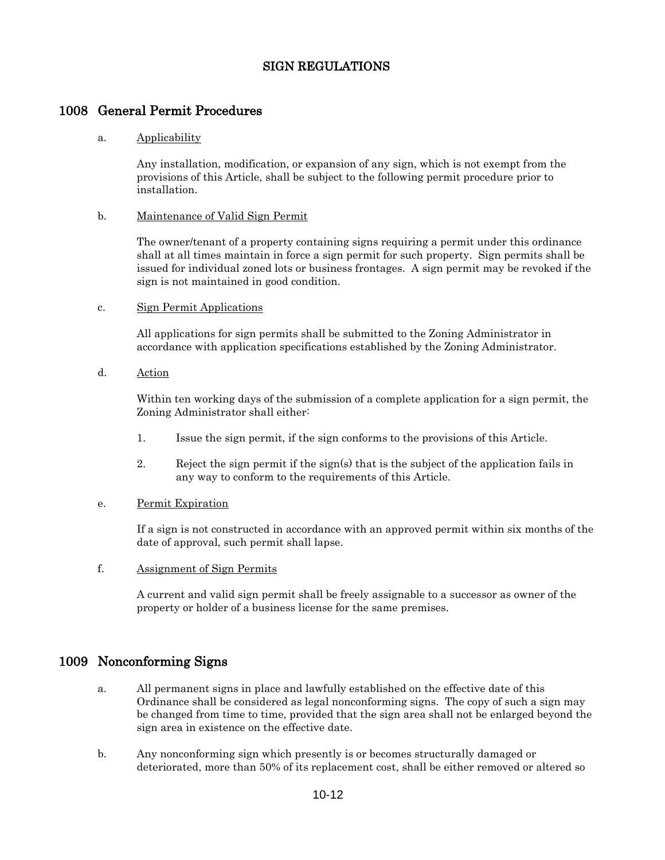## 1008 General Permit Procedures

#### a. Applicability

Any installation, modification, or expansion of any sign, which is not exempt from the provisions of this Article, shall be subject to the following permit procedure prior to installation.

#### b. Maintenance of Valid Sign Permit

The owner/tenant of a property containing signs requiring a permit under this ordinance shall at all times maintain in force a sign permit for such property. Sign permits shall be issued for individual zoned lots or business frontages. A sign permit may be revoked if the sign is not maintained in good condition.

#### c. Sign Permit Applications

All applications for sign permits shall be submitted to the Zoning Administrator in accordance with application specifications established by the Zoning Administrator.

d. Action

Within ten working days of the submission of a complete application for a sign permit, the Zoning Administrator shall either:

- 1. Issue the sign permit, if the sign conforms to the provisions of this Article.
- 2. Reject the sign permit if the sign(s) that is the subject of the application fails in any way to conform to the requirements of this Article.

#### e. Permit Expiration

If a sign is not constructed in accordance with an approved permit within six months of the date of approval, such permit shall lapse.

f. Assignment of Sign Permits

A current and valid sign permit shall be freely assignable to a successor as owner of the property or holder of a business license for the same premises.

## 1009 Nonconforming Signs

- a. All permanent signs in place and lawfully established on the effective date of this Ordinance shall be considered as legal nonconforming signs. The copy of such a sign may be changed from time to time, provided that the sign area shall not be enlarged beyond the sign area in existence on the effective date.
- b. Any nonconforming sign which presently is or becomes structurally damaged or deteriorated, more than 50% of its replacement cost, shall be either removed or altered so